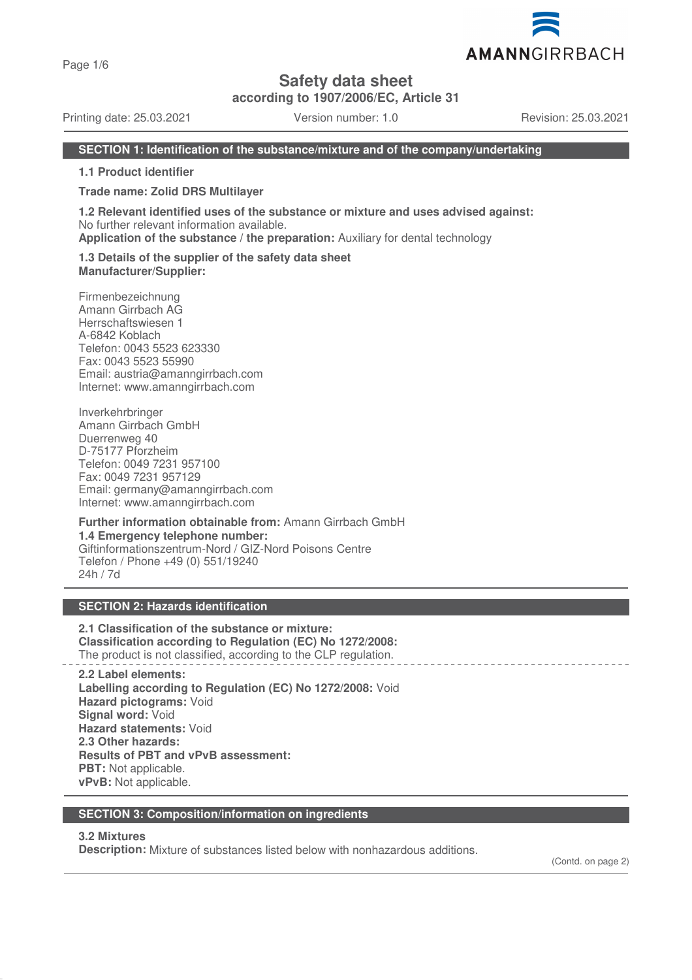Page 1/6

# **Safety data sheet**

**according to 1907/2006/EC, Article 31**

Printing date: 25.03.2021 Version number: 1.0 Revision: 25.03.2021

AMANNGIRRBACH

## **SECTION 1: Identification of the substance/mixture and of the company/undertaking**

**1.1 Product identifier**

**Trade name: Zolid DRS Multilayer**

**1.2 Relevant identified uses of the substance or mixture and uses advised against:** No further relevant information available.

**Application of the substance / the preparation:** Auxiliary for dental technology

**1.3 Details of the supplier of the safety data sheet Manufacturer/Supplier:**

Firmenbezeichnung Amann Girrbach AG Herrschaftswiesen 1 A-6842 Koblach Telefon: 0043 5523 623330 Fax: 0043 5523 55990 Email: austria@amanngirrbach.com Internet: www.amanngirrbach.com

Inverkehrbringer Amann Girrbach GmbH Duerrenweg 40 D-75177 Pforzheim Telefon: 0049 7231 957100 Fax: 0049 7231 957129 Email: germany@amanngirrbach.com Internet: www.amanngirrbach.com

**Further information obtainable from:** Amann Girrbach GmbH **1.4 Emergency telephone number:** Giftinformationszentrum-Nord / GIZ-Nord Poisons Centre Telefon / Phone +49 (0) 551/19240 24h / 7d

## **SECTION 2: Hazards identification**

**2.1 Classification of the substance or mixture: Classification according to Regulation (EC) No 1272/2008:** The product is not classified, according to the CLP regulation.

**2.2 Label elements: Labelling according to Regulation (EC) No 1272/2008:** Void **Hazard pictograms:** Void **Signal word:** Void **Hazard statements:** Void **2.3 Other hazards: Results of PBT and vPvB assessment: PBT:** Not applicable. **vPvB:** Not applicable.

#### **SECTION 3: Composition/information on ingredients**

#### **3.2 Mixtures**

**Description:** Mixture of substances listed below with nonhazardous additions.

(Contd. on page 2)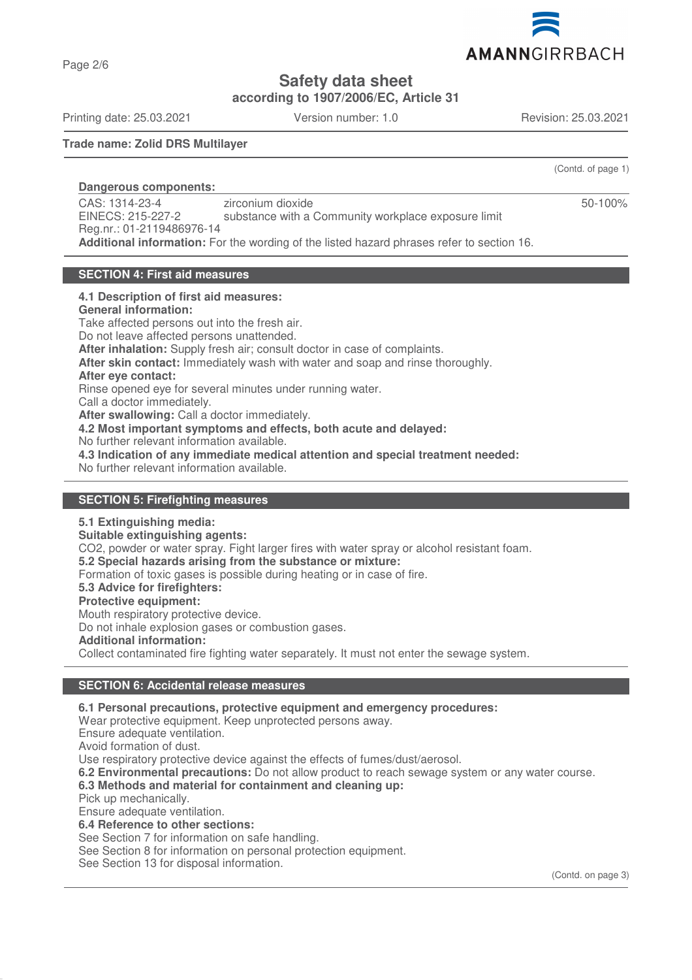

**Safety data sheet**

**according to 1907/2006/EC, Article 31**

Printing date: 25.03.2021 Version number: 1.0 Revision: 25.03.2021

Page 2/6

(Contd. of page 1)

50-100%

## **Trade name: Zolid DRS Multilayer**

## **Dangerous components:**

CAS: 1314-23-4 EINECS: 215-227-2 Reg.nr.: 01-2119486976-14 zirconium dioxide substance with a Community workplace exposure limit **Additional information:** For the wording of the listed hazard phrases refer to section 16.

## **SECTION 4: First aid measures**

#### **4.1 Description of first aid measures:**

#### **General information:**

Take affected persons out into the fresh air. Do not leave affected persons unattended. **After inhalation:** Supply fresh air; consult doctor in case of complaints. **After skin contact:** Immediately wash with water and soap and rinse thoroughly. **After eye contact:** Rinse opened eye for several minutes under running water. Call a doctor immediately. **After swallowing:** Call a doctor immediately. **4.2 Most important symptoms and effects, both acute and delayed:** No further relevant information available. **4.3 Indication of any immediate medical attention and special treatment needed:** No further relevant information available.

## **SECTION 5: Firefighting measures**

#### **5.1 Extinguishing media:**

**Suitable extinguishing agents:** CO2, powder or water spray. Fight larger fires with water spray or alcohol resistant foam. **5.2 Special hazards arising from the substance or mixture:** Formation of toxic gases is possible during heating or in case of fire. **5.3 Advice for firefighters: Protective equipment:** Mouth respiratory protective device.

Do not inhale explosion gases or combustion gases.

**Additional information:**

Collect contaminated fire fighting water separately. It must not enter the sewage system.

## **SECTION 6: Accidental release measures**

#### **6.1 Personal precautions, protective equipment and emergency procedures:**

Wear protective equipment. Keep unprotected persons away.

Ensure adequate ventilation.

Avoid formation of dust.

Use respiratory protective device against the effects of fumes/dust/aerosol.

**6.2 Environmental precautions:** Do not allow product to reach sewage system or any water course.

## **6.3 Methods and material for containment and cleaning up:**

Pick up mechanically.

Ensure adequate ventilation.

# **6.4 Reference to other sections:**

See Section 7 for information on safe handling.

See Section 8 for information on personal protection equipment.

See Section 13 for disposal information.

(Contd. on page 3)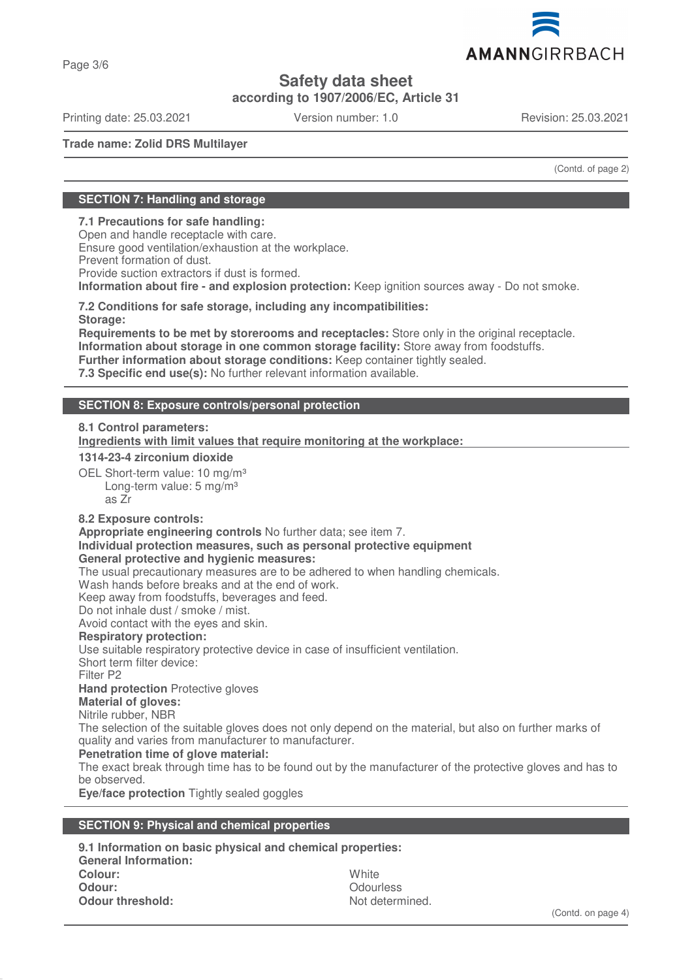

**Safety data sheet**

**according to 1907/2006/EC, Article 31**

Printing date: 25.03.2021 Version number: 1.0 Revision: 25.03.2021

AMANNGIRRBACH

**Trade name: Zolid DRS Multilayer**

(Contd. of page 2)

## **SECTION 7: Handling and storage**

## **7.1 Precautions for safe handling:**

Open and handle receptacle with care. Ensure good ventilation/exhaustion at the workplace. Prevent formation of dust. Provide suction extractors if dust is formed. **Information about fire - and explosion protection:** Keep ignition sources away - Do not smoke.

**7.2 Conditions for safe storage, including any incompatibilities: Storage:**

**Requirements to be met by storerooms and receptacles:** Store only in the original receptacle. **Information about storage in one common storage facility:** Store away from foodstuffs. **Further information about storage conditions:** Keep container tightly sealed. **7.3 Specific end use(s):** No further relevant information available.

## **SECTION 8: Exposure controls/personal protection**

## **8.1 Control parameters:**

**Ingredients with limit values that require monitoring at the workplace:** 

## **1314-23-4 zirconium dioxide**

OEL Short-term value: 10 mg/m<sup>3</sup> Long-term value: 5 mg/m<sup>3</sup> as Zr

## **8.2 Exposure controls:**

**Appropriate engineering controls** No further data; see item 7.

# **Individual protection measures, such as personal protective equipment**

**General protective and hygienic measures:**

The usual precautionary measures are to be adhered to when handling chemicals.

Wash hands before breaks and at the end of work.

Keep away from foodstuffs, beverages and feed.

Do not inhale dust / smoke / mist.

Avoid contact with the eyes and skin.

## **Respiratory protection:**

Use suitable respiratory protective device in case of insufficient ventilation.

Short term filter device:

Filter P2

## **Hand protection** Protective gloves

**Material of gloves:**

Nitrile rubber, NBR

The selection of the suitable gloves does not only depend on the material, but also on further marks of quality and varies from manufacturer to manufacturer.

## **Penetration time of glove material:**

The exact break through time has to be found out by the manufacturer of the protective gloves and has to be observed.

**Eye/face protection** Tightly sealed goggles

## **SECTION 9: Physical and chemical properties**

**9.1 Information on basic physical and chemical properties: General Information: Colour:** White **Odour:** Odourless **Odour threshold:** Not determined.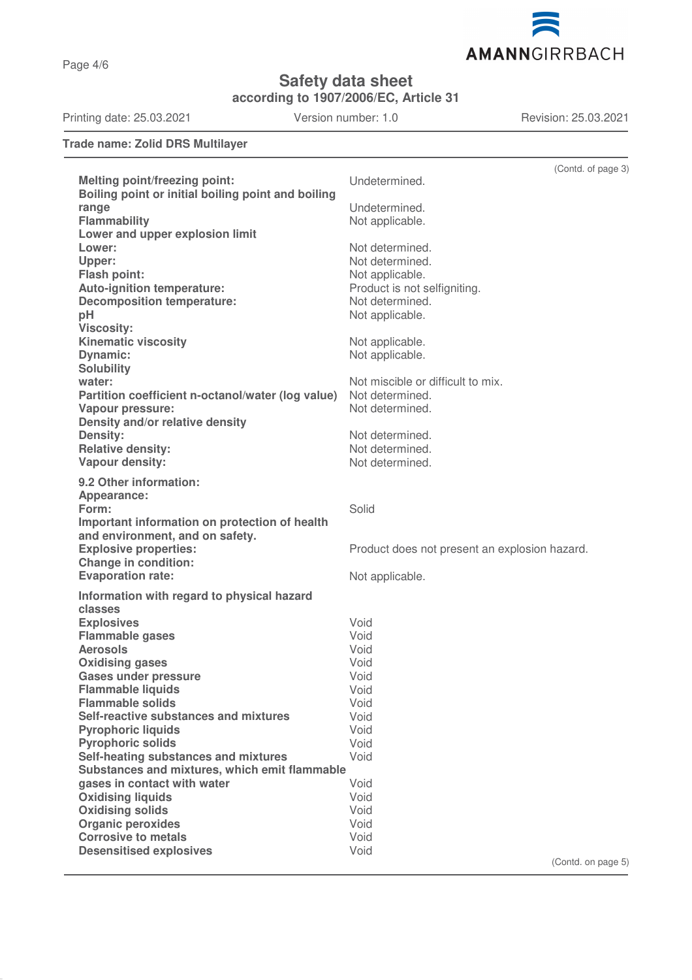AMANNGIRRBACH

**Safety data sheet**

**according to 1907/2006/EC, Article 31**

Printing date: 25.03.2021 Version number: 1.0 Revision: 25.03.2021

**Trade name: Zolid DRS Multilayer**

|                                                                                  | (Contd. of page 3)                            |
|----------------------------------------------------------------------------------|-----------------------------------------------|
| <b>Melting point/freezing point:</b>                                             | Undetermined.                                 |
| Boiling point or initial boiling point and boiling                               |                                               |
| range                                                                            | Undetermined.                                 |
| <b>Flammability</b>                                                              | Not applicable.                               |
| Lower and upper explosion limit                                                  |                                               |
| Lower:                                                                           | Not determined.                               |
| Upper:<br>Flash point:                                                           | Not determined.<br>Not applicable.            |
| Auto-ignition temperature:                                                       | Product is not selfigniting.                  |
| <b>Decomposition temperature:</b>                                                | Not determined.                               |
| pH                                                                               | Not applicable.                               |
| <b>Viscosity:</b>                                                                |                                               |
| <b>Kinematic viscosity</b>                                                       | Not applicable.                               |
| <b>Dynamic:</b>                                                                  | Not applicable.                               |
| <b>Solubility</b>                                                                |                                               |
| water:                                                                           | Not miscible or difficult to mix.             |
| Partition coefficient n-octanol/water (log value)                                | Not determined.                               |
| Vapour pressure:                                                                 | Not determined.                               |
| Density and/or relative density                                                  |                                               |
| <b>Density:</b>                                                                  | Not determined.                               |
| <b>Relative density:</b><br>Vapour density:                                      | Not determined.<br>Not determined.            |
|                                                                                  |                                               |
| 9.2 Other information:                                                           |                                               |
| Appearance:                                                                      |                                               |
| Form:                                                                            | Solid                                         |
| Important information on protection of health<br>and environment, and on safety. |                                               |
| <b>Explosive properties:</b>                                                     | Product does not present an explosion hazard. |
| <b>Change in condition:</b>                                                      |                                               |
| <b>Evaporation rate:</b>                                                         | Not applicable.                               |
| Information with regard to physical hazard                                       |                                               |
| classes                                                                          |                                               |
| <b>Explosives</b>                                                                | Void                                          |
| <b>Flammable gases</b>                                                           | Void                                          |
| <b>Aerosols</b>                                                                  | Void                                          |
| <b>Oxidising gases</b>                                                           | Void                                          |
| <b>Gases under pressure</b>                                                      | Void                                          |
| <b>Flammable liquids</b>                                                         | Void                                          |
| <b>Flammable solids</b>                                                          | Void                                          |
| Self-reactive substances and mixtures                                            | Void<br>Void                                  |
| <b>Pyrophoric liquids</b><br><b>Pyrophoric solids</b>                            | Void                                          |
| Self-heating substances and mixtures                                             | Void                                          |
| Substances and mixtures, which emit flammable                                    |                                               |
| gases in contact with water                                                      | Void                                          |
| <b>Oxidising liquids</b>                                                         | Void                                          |
| <b>Oxidising solids</b>                                                          | Void                                          |
| <b>Organic peroxides</b>                                                         | Void                                          |
| <b>Corrosive to metals</b>                                                       | Void                                          |
| <b>Desensitised explosives</b>                                                   | Void                                          |
|                                                                                  | (Contd. on page 5)                            |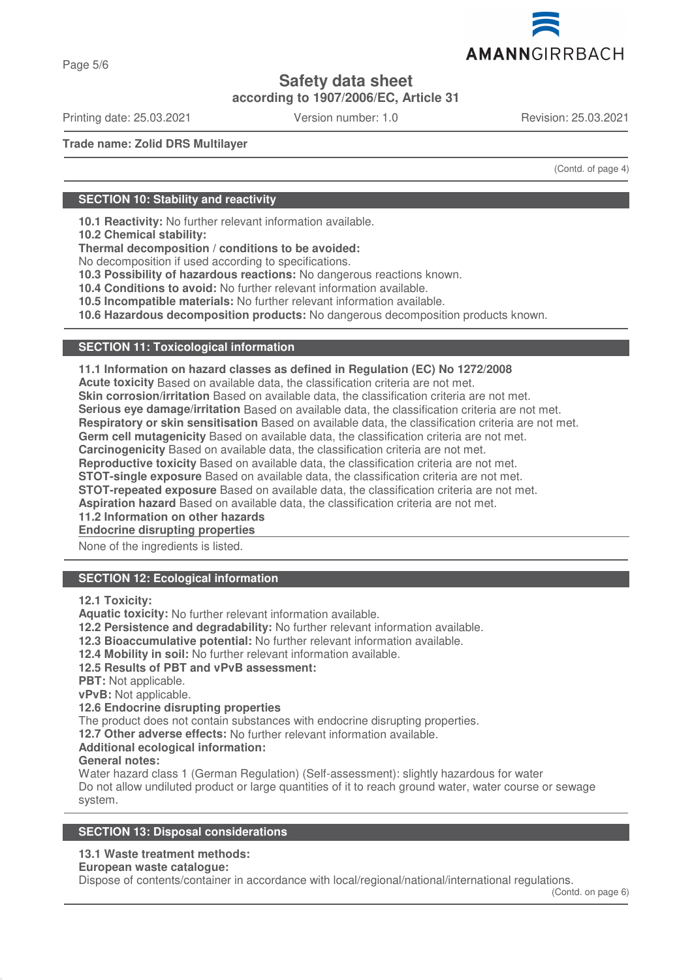

**Safety data sheet**

**according to 1907/2006/EC, Article 31**

Printing date: 25.03.2021 Version number: 1.0 Revision: 25.03.2021

**Trade name: Zolid DRS Multilayer**

(Contd. of page 4)

## **SECTION 10: Stability and reactivity**

**10.1 Reactivity:** No further relevant information available.

**10.2 Chemical stability:**

**Thermal decomposition / conditions to be avoided:**

No decomposition if used according to specifications.

**10.3 Possibility of hazardous reactions:** No dangerous reactions known.

**10.4 Conditions to avoid:** No further relevant information available.

**10.5 Incompatible materials:** No further relevant information available.

**10.6 Hazardous decomposition products:** No dangerous decomposition products known.

## **SECTION 11: Toxicological information**

**11.1 Information on hazard classes as defined in Regulation (EC) No 1272/2008**

**Acute toxicity** Based on available data, the classification criteria are not met.

**Skin corrosion/irritation** Based on available data, the classification criteria are not met.

**Serious eye damage/irritation** Based on available data, the classification criteria are not met.

**Respiratory or skin sensitisation** Based on available data, the classification criteria are not met.

**Germ cell mutagenicity** Based on available data, the classification criteria are not met.

**Carcinogenicity** Based on available data, the classification criteria are not met.

**Reproductive toxicity** Based on available data, the classification criteria are not met.

**STOT-single exposure** Based on available data, the classification criteria are not met.

**STOT-repeated exposure** Based on available data, the classification criteria are not met.

**Aspiration hazard** Based on available data, the classification criteria are not met.

**11.2 Information on other hazards**

**Endocrine disrupting properties** 

None of the ingredients is listed.

## **SECTION 12: Ecological information**

**12.1 Toxicity:**

**Aquatic toxicity:** No further relevant information available.

**12.2 Persistence and degradability:** No further relevant information available.

**12.3 Bioaccumulative potential:** No further relevant information available.

**12.4 Mobility in soil:** No further relevant information available.

## **12.5 Results of PBT and vPvB assessment:**

**PBT:** Not applicable.

**vPvB:** Not applicable.

## **12.6 Endocrine disrupting properties**

The product does not contain substances with endocrine disrupting properties.

**12.7 Other adverse effects:** No further relevant information available.

## **Additional ecological information:**

#### **General notes:**

Water hazard class 1 (German Regulation) (Self-assessment): slightly hazardous for water Do not allow undiluted product or large quantities of it to reach ground water, water course or sewage system.

## **SECTION 13: Disposal considerations**

## **13.1 Waste treatment methods:**

**European waste catalogue:**

Dispose of contents/container in accordance with local/regional/national/international regulations.